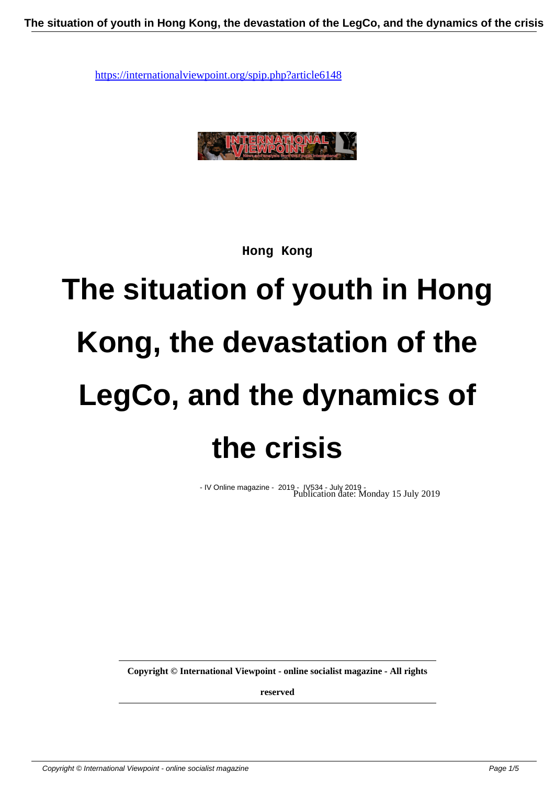

**Hong Kong**

# **The situation of youth in Hong Kong, the devastation of the LegCo, and the dynamics of the crisis**

- IV Online magazine - 2019 - IV534 - July 2019 - Publication date: Monday 15 July 2019

**Copyright © International Viewpoint - online socialist magazine - All rights**

**reserved**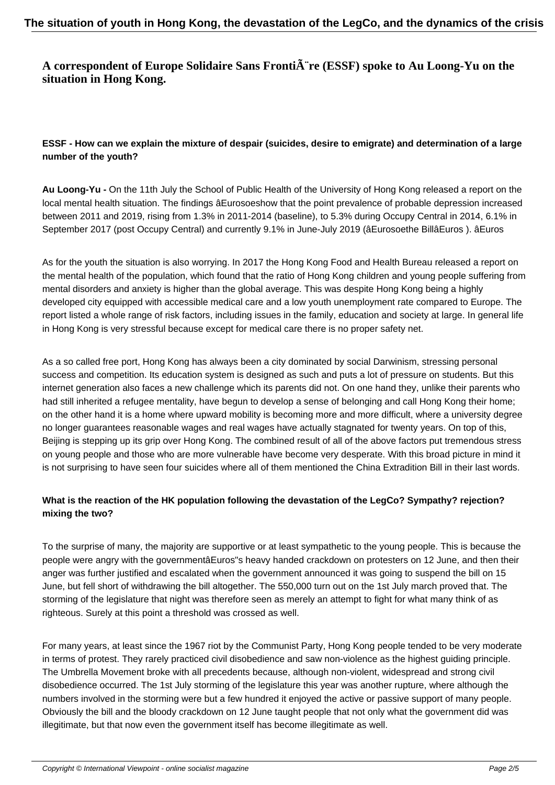## A correspondent of Europe Solidaire Sans Fronti**A** re (ESSF) spoke to Au Loong-Yu on the **situation in Hong Kong.**

#### **ESSF - How can we explain the mixture of despair (suicides, desire to emigrate) and determination of a large number of the youth?**

**Au Loong-Yu -** On the 11th July the School of Public Health of the University of Hong Kong released a report on the local mental health situation. The findings âEurosoeshow that the point prevalence of probable depression increased between 2011 and 2019, rising from 1.3% in 2011-2014 (baseline), to 5.3% during Occupy Central in 2014, 6.1% in September 2017 (post Occupy Central) and currently 9.1% in June-July 2019 (âEurosoethe BillâEuros ). âEuros

As for the youth the situation is also worrying. In 2017 the Hong Kong Food and Health Bureau released a report on the mental health of the population, which found that the ratio of Hong Kong children and young people suffering from mental disorders and anxiety is higher than the global average. This was despite Hong Kong being a highly developed city equipped with accessible medical care and a low youth unemployment rate compared to Europe. The report listed a whole range of risk factors, including issues in the family, education and society at large. In general life in Hong Kong is very stressful because except for medical care there is no proper safety net.

As a so called free port, Hong Kong has always been a city dominated by social Darwinism, stressing personal success and competition. Its education system is designed as such and puts a lot of pressure on students. But this internet generation also faces a new challenge which its parents did not. On one hand they, unlike their parents who had still inherited a refugee mentality, have begun to develop a sense of belonging and call Hong Kong their home; on the other hand it is a home where upward mobility is becoming more and more difficult, where a university degree no longer guarantees reasonable wages and real wages have actually stagnated for twenty years. On top of this, Beijing is stepping up its grip over Hong Kong. The combined result of all of the above factors put tremendous stress on young people and those who are more vulnerable have become very desperate. With this broad picture in mind it is not surprising to have seen four suicides where all of them mentioned the China Extradition Bill in their last words.

### **What is the reaction of the HK population following the devastation of the LegCo? Sympathy? rejection? mixing the two?**

To the surprise of many, the majority are supportive or at least sympathetic to the young people. This is because the people were angry with the governmentâEuros"s heavy handed crackdown on protesters on 12 June, and then their anger was further justified and escalated when the government announced it was going to suspend the bill on 15 June, but fell short of withdrawing the bill altogether. The 550,000 turn out on the 1st July march proved that. The storming of the legislature that night was therefore seen as merely an attempt to fight for what many think of as righteous. Surely at this point a threshold was crossed as well.

For many years, at least since the 1967 riot by the Communist Party, Hong Kong people tended to be very moderate in terms of protest. They rarely practiced civil disobedience and saw non-violence as the highest guiding principle. The Umbrella Movement broke with all precedents because, although non-violent, widespread and strong civil disobedience occurred. The 1st July storming of the legislature this year was another rupture, where although the numbers involved in the storming were but a few hundred it enjoyed the active or passive support of many people. Obviously the bill and the bloody crackdown on 12 June taught people that not only what the government did was illegitimate, but that now even the government itself has become illegitimate as well.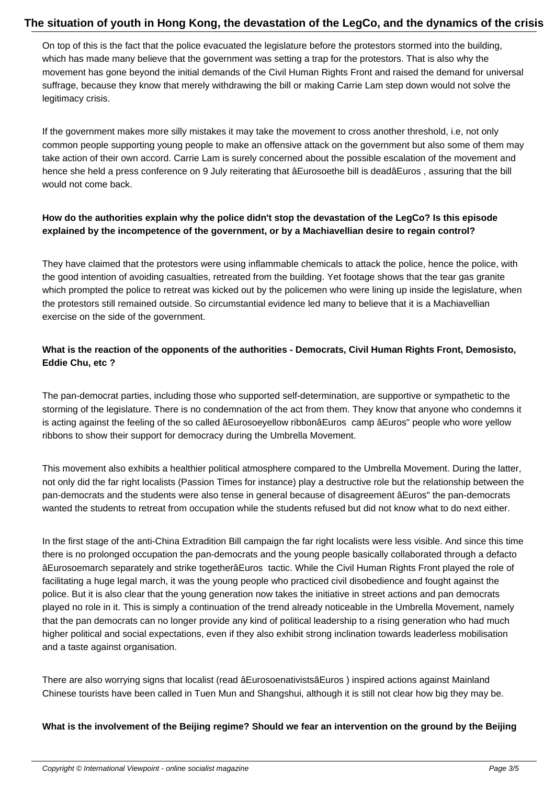On top of this is the fact that the police evacuated the legislature before the protestors stormed into the building, which has made many believe that the government was setting a trap for the protestors. That is also why the movement has gone beyond the initial demands of the Civil Human Rights Front and raised the demand for universal suffrage, because they know that merely withdrawing the bill or making Carrie Lam step down would not solve the legitimacy crisis.

If the government makes more silly mistakes it may take the movement to cross another threshold, i.e, not only common people supporting young people to make an offensive attack on the government but also some of them may take action of their own accord. Carrie Lam is surely concerned about the possible escalation of the movement and hence she held a press conference on 9 July reiterating that âEurosoethe bill is deadâEuros, assuring that the bill would not come back.

#### **How do the authorities explain why the police didn't stop the devastation of the LegCo? Is this episode explained by the incompetence of the government, or by a Machiavellian desire to regain control?**

They have claimed that the protestors were using inflammable chemicals to attack the police, hence the police, with the good intention of avoiding casualties, retreated from the building. Yet footage shows that the tear gas granite which prompted the police to retreat was kicked out by the policemen who were lining up inside the legislature, when the protestors still remained outside. So circumstantial evidence led many to believe that it is a Machiavellian exercise on the side of the government.

### **What is the reaction of the opponents of the authorities - Democrats, Civil Human Rights Front, Demosisto, Eddie Chu, etc ?**

The pan-democrat parties, including those who supported self-determination, are supportive or sympathetic to the storming of the legislature. There is no condemnation of the act from them. They know that anyone who condemns it is acting against the feeling of the so called âEurosoeyellow ribbonâEuros camp âEuros" people who wore yellow ribbons to show their support for democracy during the Umbrella Movement.

This movement also exhibits a healthier political atmosphere compared to the Umbrella Movement. During the latter, not only did the far right localists (Passion Times for instance) play a destructive role but the relationship between the pan-democrats and the students were also tense in general because of disagreement âEuros" the pan-democrats wanted the students to retreat from occupation while the students refused but did not know what to do next either.

In the first stage of the anti-China Extradition Bill campaign the far right localists were less visible. And since this time there is no prolonged occupation the pan-democrats and the young people basically collaborated through a defacto âEurosoemarch separately and strike togetherâEuros tactic. While the Civil Human Rights Front played the role of facilitating a huge legal march, it was the young people who practiced civil disobedience and fought against the police. But it is also clear that the young generation now takes the initiative in street actions and pan democrats played no role in it. This is simply a continuation of the trend already noticeable in the Umbrella Movement, namely that the pan democrats can no longer provide any kind of political leadership to a rising generation who had much higher political and social expectations, even if they also exhibit strong inclination towards leaderless mobilisation and a taste against organisation.

There are also worrying signs that localist (read âEurosoenativistsâEuros ) inspired actions against Mainland Chinese tourists have been called in Tuen Mun and Shangshui, although it is still not clear how big they may be.

**What is the involvement of the Beijing regime? Should we fear an intervention on the ground by the Beijing**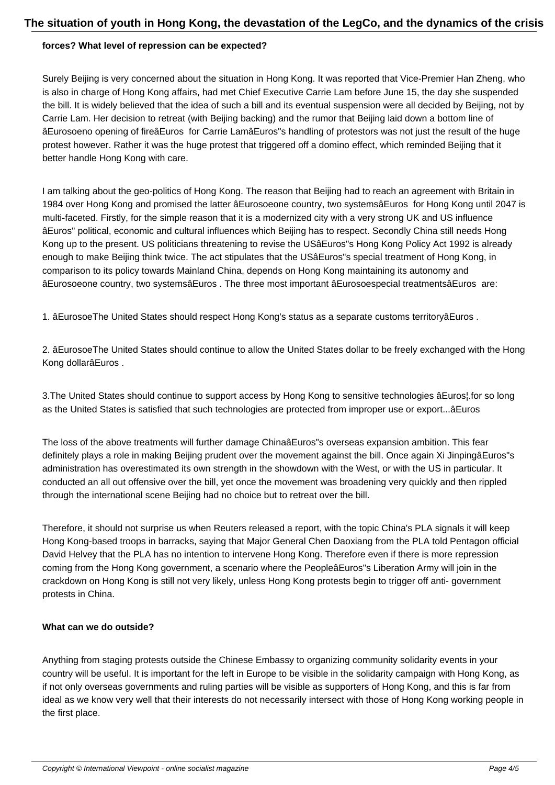#### **forces? What level of repression can be expected?**

Surely Beijing is very concerned about the situation in Hong Kong. It was reported that Vice-Premier Han Zheng, who is also in charge of Hong Kong affairs, had met Chief Executive Carrie Lam before June 15, the day she suspended the bill. It is widely believed that the idea of such a bill and its eventual suspension were all decided by Beijing, not by Carrie Lam. Her decision to retreat (with Beijing backing) and the rumor that Beijing laid down a bottom line of âEurosoeno opening of fireâEuros for Carrie LamâEuros"s handling of protestors was not just the result of the huge protest however. Rather it was the huge protest that triggered off a domino effect, which reminded Beijing that it better handle Hong Kong with care.

I am talking about the geo-politics of Hong Kong. The reason that Beijing had to reach an agreement with Britain in 1984 over Hong Kong and promised the latter âEurosoeone country, two systemsâEuros for Hong Kong until 2047 is multi-faceted. Firstly, for the simple reason that it is a modernized city with a very strong UK and US influence âEuros" political, economic and cultural influences which Beijing has to respect. Secondly China still needs Hong Kong up to the present. US politicians threatening to revise the USâEuros"s Hong Kong Policy Act 1992 is already enough to make Beijing think twice. The act stipulates that the USâEuros"s special treatment of Hong Kong, in comparison to its policy towards Mainland China, depends on Hong Kong maintaining its autonomy and âEurosoeone country, two systemsâEuros . The three most important âEurosoespecial treatmentsâEuros are:

1. âEurosoeThe United States should respect Hong Kong's status as a separate customs territoryâEuros .

2. âEurosoeThe United States should continue to allow the United States dollar to be freely exchanged with the Hong Kong dollarâEuros .

3.The United States should continue to support access by Hong Kong to sensitive technologies âEuros¦.for so long as the United States is satisfied that such technologies are protected from improper use or export...âEuros

The loss of the above treatments will further damage ChinaâEuros"s overseas expansion ambition. This fear definitely plays a role in making Beijing prudent over the movement against the bill. Once again Xi JinpingâEuros"s administration has overestimated its own strength in the showdown with the West, or with the US in particular. It conducted an all out offensive over the bill, yet once the movement was broadening very quickly and then rippled through the international scene Beijing had no choice but to retreat over the bill.

Therefore, it should not surprise us when Reuters released a report, with the topic China's PLA signals it will keep Hong Kong-based troops in barracks, saying that Major General Chen Daoxiang from the PLA told Pentagon official David Helvey that the PLA has no intention to intervene Hong Kong. Therefore even if there is more repression coming from the Hong Kong government, a scenario where the PeopleâEuros"s Liberation Army will join in the crackdown on Hong Kong is still not very likely, unless Hong Kong protests begin to trigger off anti- government protests in China.

#### **What can we do outside?**

Anything from staging protests outside the Chinese Embassy to organizing community solidarity events in your country will be useful. It is important for the left in Europe to be visible in the solidarity campaign with Hong Kong, as if not only overseas governments and ruling parties will be visible as supporters of Hong Kong, and this is far from ideal as we know very well that their interests do not necessarily intersect with those of Hong Kong working people in the first place.